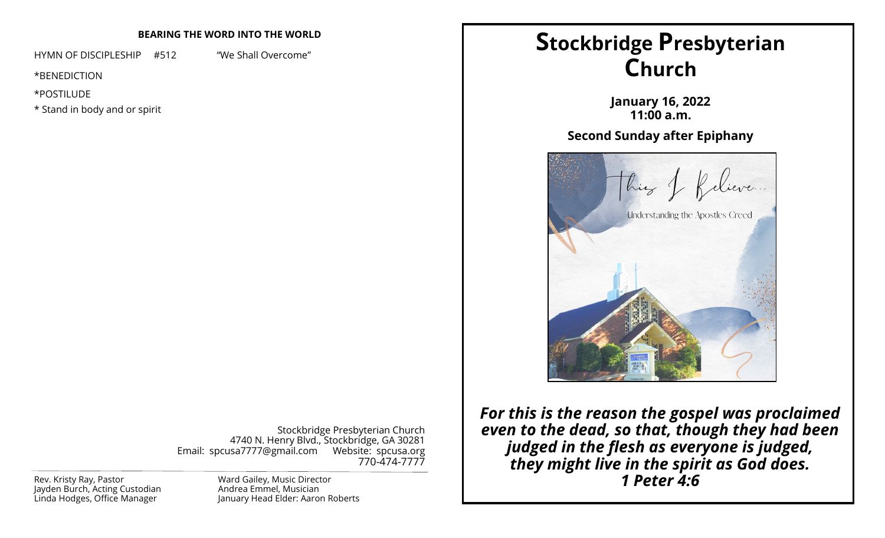# **BEARING THE WORD INTO THE WORLD**

HYMN OF DISCIPLESHIP #512 "We Shall Overcome"

\*BENEDICTION

\*POSTILUDE

\* Stand in body and or spirit

Stockbridge Presbyterian Church 4740 N. Henry Blvd., Stockbridge, GA 30281 Email: spcusa7777@gmail.com Website: spcusa.org 770-474-7777

Jayden Burch, Acting Custodian Linda Hodges, Office Manager

Ward Gailey, Music Director Andrea Emmel, Musician January Head Elder: Aaron Roberts

# **Stockbridge Presbyterian Church**

**January 16, 2022 11:00 a.m.**

# **Second Sunday after Epiphany**



*For this is the reason the gospel was proclaimed even to the dead, so that, though they had been judged in the flesh as everyone is judged, they might live in the spirit as God does.*  Rev. Kristy Ray, Pastor **1 Peter 4:6 Ward Gailey, Music Director 1 Rev. Kristy Ray, Pastor 1 <b>Peter 4:6**